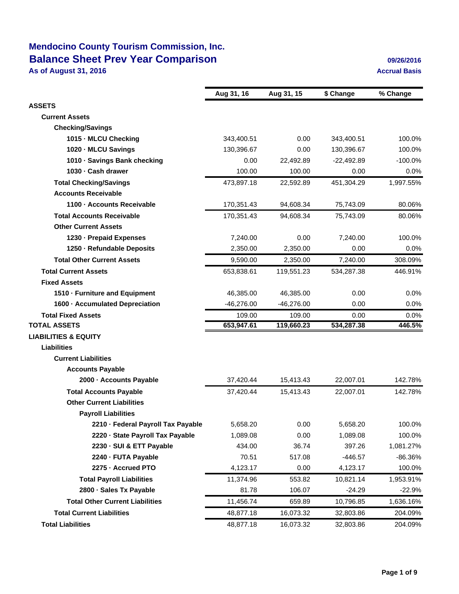# **Mendocino County Tourism Commission, Inc. Balance Sheet Prev Year Comparison 1999 12016 1991 12026/2016**

**As of August 31, 2016 Accrual Basis Accrual Basis Accrual Basis** 

|                                        | Aug 31, 16   | Aug 31, 15   | \$ Change    | % Change  |
|----------------------------------------|--------------|--------------|--------------|-----------|
| <b>ASSETS</b>                          |              |              |              |           |
| <b>Current Assets</b>                  |              |              |              |           |
| <b>Checking/Savings</b>                |              |              |              |           |
| 1015 - MLCU Checking                   | 343,400.51   | 0.00         | 343,400.51   | 100.0%    |
| 1020 - MLCU Savings                    | 130,396.67   | 0.00         | 130,396.67   | 100.0%    |
| 1010 - Savings Bank checking           | 0.00         | 22,492.89    | $-22,492.89$ | $-100.0%$ |
| 1030 - Cash drawer                     | 100.00       | 100.00       | 0.00         | 0.0%      |
| <b>Total Checking/Savings</b>          | 473,897.18   | 22,592.89    | 451,304.29   | 1,997.55% |
| <b>Accounts Receivable</b>             |              |              |              |           |
| 1100 - Accounts Receivable             | 170,351.43   | 94,608.34    | 75,743.09    | 80.06%    |
| <b>Total Accounts Receivable</b>       | 170,351.43   | 94,608.34    | 75,743.09    | 80.06%    |
| <b>Other Current Assets</b>            |              |              |              |           |
| 1230 - Prepaid Expenses                | 7,240.00     | 0.00         | 7,240.00     | 100.0%    |
| 1250 - Refundable Deposits             | 2,350.00     | 2,350.00     | 0.00         | 0.0%      |
| <b>Total Other Current Assets</b>      | 9,590.00     | 2,350.00     | 7,240.00     | 308.09%   |
| <b>Total Current Assets</b>            | 653,838.61   | 119,551.23   | 534,287.38   | 446.91%   |
| <b>Fixed Assets</b>                    |              |              |              |           |
| 1510 - Furniture and Equipment         | 46,385.00    | 46,385.00    | 0.00         | 0.0%      |
| 1600 - Accumulated Depreciation        | $-46,276.00$ | $-46,276.00$ | 0.00         | 0.0%      |
| <b>Total Fixed Assets</b>              | 109.00       | 109.00       | 0.00         | 0.0%      |
| <b>TOTAL ASSETS</b>                    | 653,947.61   | 119,660.23   | 534,287.38   | 446.5%    |
| <b>LIABILITIES &amp; EQUITY</b>        |              |              |              |           |
| <b>Liabilities</b>                     |              |              |              |           |
| <b>Current Liabilities</b>             |              |              |              |           |
| <b>Accounts Payable</b>                |              |              |              |           |
| 2000 - Accounts Payable                | 37,420.44    | 15,413.43    | 22,007.01    | 142.78%   |
| <b>Total Accounts Payable</b>          | 37,420.44    | 15,413.43    | 22,007.01    | 142.78%   |
| <b>Other Current Liabilities</b>       |              |              |              |           |
| <b>Payroll Liabilities</b>             |              |              |              |           |
| 2210 - Federal Payroll Tax Payable     | 5,658.20     | 0.00         | 5,658.20     | 100.0%    |
| 2220 · State Payroll Tax Payable       | 1,089.08     | 0.00         | 1,089.08     | 100.0%    |
| 2230 SUI & ETT Payable                 | 434.00       | 36.74        | 397.26       | 1,081.27% |
| 2240 FUTA Payable                      | 70.51        | 517.08       | -446.57      | -86.36%   |
| 2275 Accrued PTO                       | 4,123.17     | 0.00         | 4,123.17     | 100.0%    |
| <b>Total Payroll Liabilities</b>       | 11,374.96    | 553.82       | 10,821.14    | 1,953.91% |
| 2800 - Sales Tx Payable                | 81.78        | 106.07       | $-24.29$     | $-22.9%$  |
| <b>Total Other Current Liabilities</b> | 11,456.74    | 659.89       | 10,796.85    | 1,636.16% |
| <b>Total Current Liabilities</b>       | 48,877.18    | 16,073.32    | 32,803.86    | 204.09%   |
| <b>Total Liabilities</b>               | 48,877.18    | 16,073.32    | 32,803.86    | 204.09%   |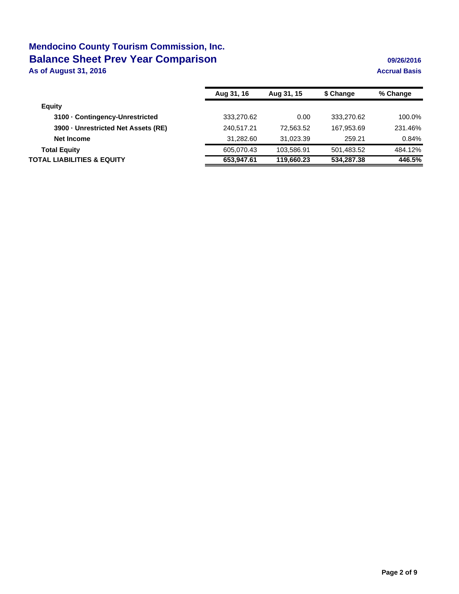# **Mendocino County Tourism Commission, Inc. Balance Sheet Prev Year Comparison 1999 12016 1991 12026/2016**

**As of August 31, 2016 Accrual Basis Accrual Basis Accrual Basis** 

|                                       | Aug 31, 16 | Aug 31, 15 | \$ Change  | % Change |
|---------------------------------------|------------|------------|------------|----------|
| <b>Equity</b>                         |            |            |            |          |
| 3100 Contingency-Unrestricted         | 333.270.62 | 0.00       | 333.270.62 | 100.0%   |
| 3900 - Unrestricted Net Assets (RE)   | 240,517.21 | 72.563.52  | 167,953.69 | 231.46%  |
| <b>Net Income</b>                     | 31,282.60  | 31.023.39  | 259.21     | 0.84%    |
| <b>Total Equity</b>                   | 605,070.43 | 103,586.91 | 501,483.52 | 484.12%  |
| <b>TOTAL LIABILITIES &amp; EQUITY</b> | 653,947.61 | 119,660.23 | 534,287.38 | 446.5%   |
|                                       |            |            |            |          |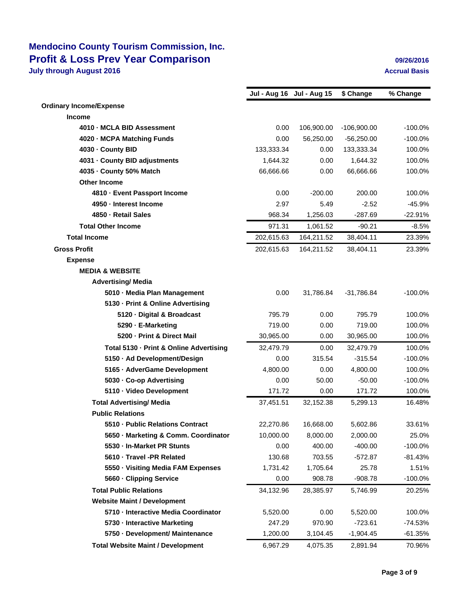### **Mendocino County Tourism Commission, Inc. Profit & Loss Prev Year Comparison 09/26/2016 July through August 2016 August 2016 Accrual Basis Accrual Basis**

|                                                                      | Jul - Aug 16 Jul - Aug 15 |                       | \$ Change            | % Change            |
|----------------------------------------------------------------------|---------------------------|-----------------------|----------------------|---------------------|
| <b>Ordinary Income/Expense</b>                                       |                           |                       |                      |                     |
| <b>Income</b><br>4010 - MCLA BID Assessment                          |                           |                       |                      |                     |
|                                                                      | 0.00<br>0.00              | 106,900.00            | $-106,900.00$        | $-100.0%$           |
| 4020 - MCPA Matching Funds                                           |                           | 56,250.00             | $-56,250.00$         | $-100.0%$           |
| 4030 - County BID                                                    | 133,333.34                | 0.00<br>0.00          | 133,333.34           | 100.0%<br>100.0%    |
| 4031 - County BID adjustments<br>4035 - County 50% Match             | 1,644.32                  |                       | 1,644.32             |                     |
| <b>Other Income</b>                                                  | 66,666.66                 | 0.00                  | 66,666.66            | 100.0%              |
| 4810 Event Passport Income                                           | 0.00                      | $-200.00$             | 200.00               | 100.0%              |
| 4950 - Interest Income                                               | 2.97                      | 5.49                  | $-2.52$              | $-45.9%$            |
| 4850 - Retail Sales                                                  | 968.34                    | 1,256.03              | $-287.69$            | $-22.91%$           |
| <b>Total Other Income</b>                                            | 971.31                    | 1,061.52              | $-90.21$             | $-8.5%$             |
| <b>Total Income</b>                                                  |                           |                       |                      |                     |
|                                                                      | 202,615.63                | 164,211.52            | 38,404.11            | 23.39%              |
| <b>Gross Profit</b>                                                  | 202,615.63                | 164,211.52            | 38,404.11            | 23.39%              |
| <b>Expense</b>                                                       |                           |                       |                      |                     |
| <b>MEDIA &amp; WEBSITE</b>                                           |                           |                       |                      |                     |
| <b>Advertising/ Media</b>                                            |                           |                       |                      |                     |
| 5010 - Media Plan Management                                         | 0.00                      | 31,786.84             | $-31,786.84$         | $-100.0%$           |
| 5130 - Print & Online Advertising                                    |                           |                       | 795.79               |                     |
| 5120 Digital & Broadcast                                             | 795.79                    | 0.00                  | 719.00               | 100.0%              |
| 5290 E-Marketing<br>5200 Print & Direct Mail                         | 719.00                    | 0.00                  |                      | 100.0%              |
|                                                                      | 30,965.00                 | 0.00                  | 30,965.00            | 100.0%              |
| Total 5130 Print & Online Advertising                                | 32,479.79                 | 0.00                  | 32,479.79            | 100.0%              |
| 5150 - Ad Development/Design                                         | 0.00                      | 315.54                | $-315.54$            | $-100.0%$           |
| 5165 - AdverGame Development                                         | 4,800.00                  | 0.00<br>50.00         | 4,800.00             | 100.0%              |
| 5030 Co-op Advertising<br>5110 Video Development                     | 0.00<br>171.72            | 0.00                  | $-50.00$<br>171.72   | $-100.0%$<br>100.0% |
| <b>Total Advertising/ Media</b>                                      |                           |                       |                      | 16.48%              |
| <b>Public Relations</b>                                              | 37,451.51                 | 32,152.38             | 5,299.13             |                     |
|                                                                      |                           |                       |                      |                     |
| 5510 Public Relations Contract<br>5650 Marketing & Comm. Coordinator | 22,270.86<br>10,000.00    | 16,668.00<br>8,000.00 | 5,602.86<br>2,000.00 | 33.61%<br>25.0%     |
| 5530 In-Market PR Stunts                                             | 0.00                      | 400.00                | $-400.00$            | $-100.0%$           |
| 5610 Travel -PR Related                                              | 130.68                    | 703.55                | $-572.87$            | $-81.43%$           |
| 5550 Visiting Media FAM Expenses                                     | 1,731.42                  | 1,705.64              | 25.78                | 1.51%               |
| 5660 Clipping Service                                                | 0.00                      | 908.78                | $-908.78$            | $-100.0%$           |
| <b>Total Public Relations</b>                                        |                           |                       |                      |                     |
|                                                                      | 34,132.96                 | 28,385.97             | 5,746.99             | 20.25%              |
| <b>Website Maint / Development</b>                                   |                           |                       |                      |                     |
| 5710 Interactive Media Coordinator                                   | 5,520.00                  | 0.00                  | 5,520.00             | 100.0%              |
| 5730 Interactive Marketing                                           | 247.29                    | 970.90                | $-723.61$            | $-74.53%$           |
| 5750 Development/ Maintenance                                        | 1,200.00                  | 3,104.45              | $-1,904.45$          | $-61.35%$           |
| <b>Total Website Maint / Development</b>                             | 6,967.29                  | 4,075.35              | 2,891.94             | 70.96%              |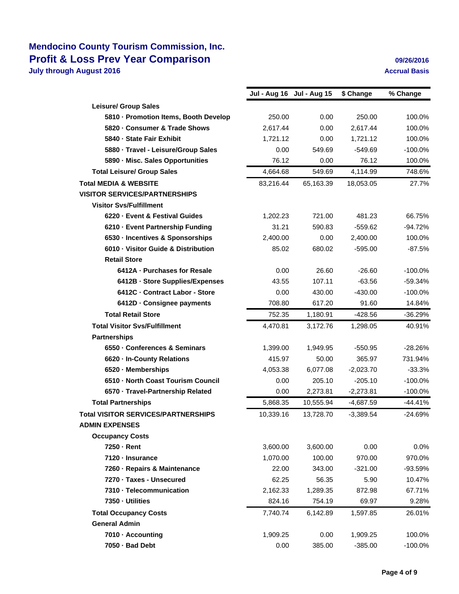### **Mendocino County Tourism Commission, Inc. Profit & Loss Prev Year Comparison 09/26/2016 July through August 2016 Accrual Basis Accrual Basis Accrual Basis**

|                                            |           | Jul - Aug 16 Jul - Aug 15 | \$ Change   | % Change   |
|--------------------------------------------|-----------|---------------------------|-------------|------------|
| <b>Leisure/ Group Sales</b>                |           |                           |             |            |
| 5810 - Promotion Items, Booth Develop      | 250.00    | 0.00                      | 250.00      | 100.0%     |
| 5820 Consumer & Trade Shows                | 2,617.44  | 0.00                      | 2,617.44    | 100.0%     |
| 5840 State Fair Exhibit                    | 1,721.12  | 0.00                      | 1,721.12    | 100.0%     |
| 5880 · Travel - Leisure/Group Sales        | 0.00      | 549.69                    | $-549.69$   | $-100.0%$  |
| 5890 - Misc. Sales Opportunities           | 76.12     | 0.00                      | 76.12       | 100.0%     |
| <b>Total Leisure/ Group Sales</b>          | 4,664.68  | 549.69                    | 4,114.99    | 748.6%     |
| <b>Total MEDIA &amp; WEBSITE</b>           | 83,216.44 | 65,163.39                 | 18,053.05   | 27.7%      |
| <b>VISITOR SERVICES/PARTNERSHIPS</b>       |           |                           |             |            |
| <b>Visitor Svs/Fulfillment</b>             |           |                           |             |            |
| 6220 Event & Festival Guides               | 1,202.23  | 721.00                    | 481.23      | 66.75%     |
| 6210 - Event Partnership Funding           | 31.21     | 590.83                    | $-559.62$   | $-94.72%$  |
| 6530 - Incentives & Sponsorships           | 2,400.00  | 0.00                      | 2,400.00    | 100.0%     |
| 6010 Visitor Guide & Distribution          | 85.02     | 680.02                    | $-595.00$   | $-87.5%$   |
| <b>Retail Store</b>                        |           |                           |             |            |
| 6412A - Purchases for Resale               | 0.00      | 26.60                     | $-26.60$    | $-100.0%$  |
| 6412B - Store Supplies/Expenses            | 43.55     | 107.11                    | $-63.56$    | $-59.34%$  |
| 6412C - Contract Labor - Store             | 0.00      | 430.00                    | $-430.00$   | $-100.0%$  |
| 6412D - Consignee payments                 | 708.80    | 617.20                    | 91.60       | 14.84%     |
| <b>Total Retail Store</b>                  | 752.35    | 1,180.91                  | $-428.56$   | $-36.29%$  |
| <b>Total Visitor Sys/Fulfillment</b>       | 4,470.81  | 3,172.76                  | 1,298.05    | 40.91%     |
| <b>Partnerships</b>                        |           |                           |             |            |
| 6550 Conferences & Seminars                | 1,399.00  | 1,949.95                  | $-550.95$   | $-28.26%$  |
| 6620 In-County Relations                   | 415.97    | 50.00                     | 365.97      | 731.94%    |
| 6520 Memberships                           | 4,053.38  | 6,077.08                  | $-2,023.70$ | $-33.3%$   |
| 6510 North Coast Tourism Council           | 0.00      | 205.10                    | $-205.10$   | $-100.0%$  |
| 6570 Travel-Partnership Related            | 0.00      | 2,273.81                  | $-2,273.81$ | $-100.0\%$ |
| <b>Total Partnerships</b>                  | 5,868.35  | 10,555.94                 | $-4,687.59$ | $-44.41%$  |
| <b>Total VISITOR SERVICES/PARTNERSHIPS</b> | 10,339.16 | 13,728.70                 | $-3,389.54$ | $-24.69%$  |
| <b>ADMIN EXPENSES</b>                      |           |                           |             |            |
| <b>Occupancy Costs</b>                     |           |                           |             |            |
| 7250 Rent                                  | 3,600.00  | 3,600.00                  | 0.00        | 0.0%       |
| 7120 Insurance                             | 1,070.00  | 100.00                    | 970.00      | 970.0%     |
| 7260 - Repairs & Maintenance               | 22.00     | 343.00                    | $-321.00$   | -93.59%    |
| 7270 · Taxes - Unsecured                   | 62.25     | 56.35                     | 5.90        | 10.47%     |
| 7310 Telecommunication                     | 2,162.33  | 1,289.35                  | 872.98      | 67.71%     |
| 7350 Utilities                             | 824.16    | 754.19                    | 69.97       | 9.28%      |
| <b>Total Occupancy Costs</b>               | 7,740.74  | 6,142.89                  | 1,597.85    | 26.01%     |
| <b>General Admin</b>                       |           |                           |             |            |
| 7010 Accounting                            | 1,909.25  | 0.00                      | 1,909.25    | 100.0%     |
| 7050 · Bad Debt                            | 0.00      | 385.00                    | $-385.00$   | $-100.0%$  |
|                                            |           |                           |             |            |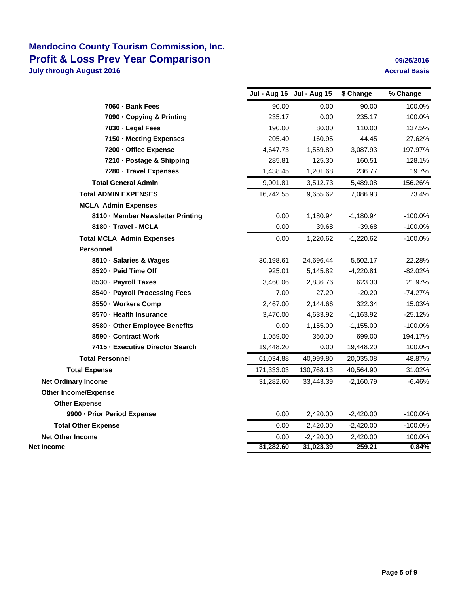### **Mendocino County Tourism Commission, Inc. Profit & Loss Prev Year Comparison 1997 12010 12020 12042016 July through August 2016 August 2016 Accrual Basis Accrual Basis**

|                                   | Jul - Aug 16 Jul - Aug 15 |             | \$ Change   | % Change   |
|-----------------------------------|---------------------------|-------------|-------------|------------|
| 7060 Bank Fees                    | 90.00                     | 0.00        | 90.00       | 100.0%     |
| 7090 Copying & Printing           | 235.17                    | 0.00        | 235.17      | 100.0%     |
| 7030 Legal Fees                   | 190.00                    | 80.00       | 110.00      | 137.5%     |
| 7150 Meeting Expenses             | 205.40                    | 160.95      | 44.45       | 27.62%     |
| 7200 Office Expense               | 4,647.73                  | 1,559.80    | 3,087.93    | 197.97%    |
| 7210 Postage & Shipping           | 285.81                    | 125.30      | 160.51      | 128.1%     |
| 7280 Travel Expenses              | 1,438.45                  | 1,201.68    | 236.77      | 19.7%      |
| <b>Total General Admin</b>        | 9,001.81                  | 3,512.73    | 5,489.08    | 156.26%    |
| <b>Total ADMIN EXPENSES</b>       | 16,742.55                 | 9,655.62    | 7,086.93    | 73.4%      |
| <b>MCLA Admin Expenses</b>        |                           |             |             |            |
| 8110 - Member Newsletter Printing | 0.00                      | 1,180.94    | $-1,180.94$ | $-100.0%$  |
| 8180 - Travel - MCLA              | 0.00                      | 39.68       | $-39.68$    | $-100.0%$  |
| <b>Total MCLA Admin Expenses</b>  | 0.00                      | 1,220.62    | $-1,220.62$ | $-100.0\%$ |
| <b>Personnel</b>                  |                           |             |             |            |
| 8510 Salaries & Wages             | 30,198.61                 | 24,696.44   | 5,502.17    | 22.28%     |
| 8520 Paid Time Off                | 925.01                    | 5,145.82    | $-4,220.81$ | $-82.02%$  |
| 8530 Payroll Taxes                | 3,460.06                  | 2,836.76    | 623.30      | 21.97%     |
| 8540 - Payroll Processing Fees    | 7.00                      | 27.20       | $-20.20$    | $-74.27%$  |
| 8550 Workers Comp                 | 2,467.00                  | 2,144.66    | 322.34      | 15.03%     |
| 8570 - Health Insurance           | 3,470.00                  | 4,633.92    | $-1,163.92$ | $-25.12%$  |
| 8580 Other Employee Benefits      | 0.00                      | 1,155.00    | $-1,155.00$ | $-100.0%$  |
| 8590 Contract Work                | 1,059.00                  | 360.00      | 699.00      | 194.17%    |
| 7415 - Executive Director Search  | 19,448.20                 | 0.00        | 19,448.20   | 100.0%     |
| <b>Total Personnel</b>            | 61,034.88                 | 40,999.80   | 20,035.08   | 48.87%     |
| <b>Total Expense</b>              | 171,333.03                | 130,768.13  | 40,564.90   | 31.02%     |
| <b>Net Ordinary Income</b>        | 31,282.60                 | 33,443.39   | $-2,160.79$ | -6.46%     |
| <b>Other Income/Expense</b>       |                           |             |             |            |
| <b>Other Expense</b>              |                           |             |             |            |
| 9900 - Prior Period Expense       | 0.00                      | 2,420.00    | $-2,420.00$ | $-100.0%$  |
| <b>Total Other Expense</b>        | 0.00                      | 2,420.00    | -2,420.00   | $-100.0\%$ |
| <b>Net Other Income</b>           | 0.00                      | $-2,420.00$ | 2,420.00    | 100.0%     |
| Net Income                        | 31,282.60                 | 31,023.39   | 259.21      | 0.84%      |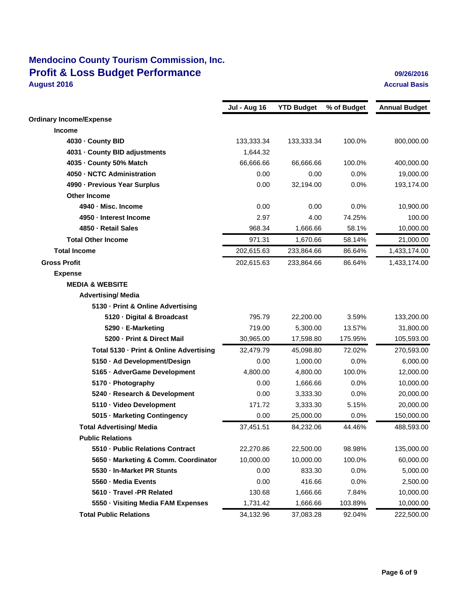## **Mendocino County Tourism Commission, Inc. Profit & Loss Budget Performance August 2016 August 2016**

|               | 09/26/2016 |  |
|---------------|------------|--|
| Accrual Basis |            |  |

|                                         | <b>Jul - Aug 16</b> | <b>YTD Budget</b> | % of Budget | <b>Annual Budget</b> |
|-----------------------------------------|---------------------|-------------------|-------------|----------------------|
| <b>Ordinary Income/Expense</b>          |                     |                   |             |                      |
| <b>Income</b>                           |                     |                   |             |                      |
| 4030 - County BID                       | 133,333.34          | 133,333.34        | 100.0%      | 800,000.00           |
| 4031 - County BID adjustments           | 1,644.32            |                   |             |                      |
| 4035 - County 50% Match                 | 66,666.66           | 66,666.66         | 100.0%      | 400,000.00           |
| 4050 - NCTC Administration              | 0.00                | 0.00              | 0.0%        | 19,000.00            |
| 4990 - Previous Year Surplus            | 0.00                | 32,194.00         | 0.0%        | 193,174.00           |
| <b>Other Income</b>                     |                     |                   |             |                      |
| 4940 - Misc. Income                     | 0.00                | 0.00              | 0.0%        | 10,900.00            |
| 4950 - Interest Income                  | 2.97                | 4.00              | 74.25%      | 100.00               |
| 4850 - Retail Sales                     | 968.34              | 1,666.66          | 58.1%       | 10,000.00            |
| <b>Total Other Income</b>               | 971.31              | 1,670.66          | 58.14%      | 21,000.00            |
| <b>Total Income</b>                     | 202,615.63          | 233,864.66        | 86.64%      | 1,433,174.00         |
| <b>Gross Profit</b>                     | 202,615.63          | 233,864.66        | 86.64%      | 1,433,174.00         |
| <b>Expense</b>                          |                     |                   |             |                      |
| <b>MEDIA &amp; WEBSITE</b>              |                     |                   |             |                      |
| <b>Advertising/ Media</b>               |                     |                   |             |                      |
| 5130 - Print & Online Advertising       |                     |                   |             |                      |
| 5120 - Digital & Broadcast              | 795.79              | 22,200.00         | 3.59%       | 133,200.00           |
| 5290 E-Marketing                        | 719.00              | 5,300.00          | 13.57%      | 31,800.00            |
| 5200 - Print & Direct Mail              | 30,965.00           | 17,598.80         | 175.95%     | 105,593.00           |
| Total 5130 - Print & Online Advertising | 32,479.79           | 45,098.80         | 72.02%      | 270,593.00           |
| 5150 Ad Development/Design              | 0.00                | 1,000.00          | 0.0%        | 6,000.00             |
| 5165 - AdverGame Development            | 4,800.00            | 4,800.00          | 100.0%      | 12,000.00            |
| 5170 Photography                        | 0.00                | 1,666.66          | 0.0%        | 10,000.00            |
| 5240 - Research & Development           | 0.00                | 3,333.30          | 0.0%        | 20,000.00            |
| 5110 Video Development                  | 171.72              | 3,333.30          | 5.15%       | 20,000.00            |
| 5015 Marketing Contingency              | 0.00                | 25,000.00         | 0.0%        | 150,000.00           |
| <b>Total Advertising/ Media</b>         | 37,451.51           | 84,232.06         | 44.46%      | 488,593.00           |
| <b>Public Relations</b>                 |                     |                   |             |                      |
| 5510 Public Relations Contract          | 22,270.86           | 22,500.00         | 98.98%      | 135,000.00           |
| 5650 Marketing & Comm. Coordinator      | 10,000.00           | 10,000.00         | 100.0%      | 60,000.00            |
| 5530 In-Market PR Stunts                | 0.00                | 833.30            | 0.0%        | 5,000.00             |
| 5560 - Media Events                     | 0.00                | 416.66            | 0.0%        | 2,500.00             |
| 5610 Travel -PR Related                 | 130.68              | 1,666.66          | 7.84%       | 10,000.00            |
| 5550 Visiting Media FAM Expenses        | 1,731.42            | 1,666.66          | 103.89%     | 10,000.00            |
| <b>Total Public Relations</b>           | 34,132.96           | 37,083.28         | 92.04%      | 222,500.00           |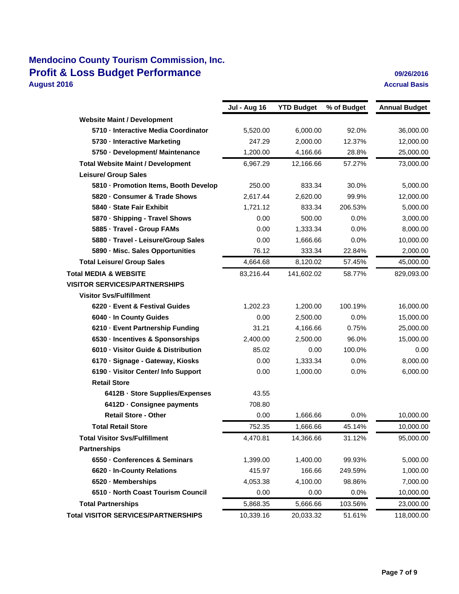## **Mendocino County Tourism Commission, Inc. Profit & Loss Budget Performance Discussed Algebra 2012 12016 09/26/2016 August 2016 Accrual Basis**

|                                            | <b>Jul - Aug 16</b> | <b>YTD Budget</b> | % of Budget | <b>Annual Budget</b> |
|--------------------------------------------|---------------------|-------------------|-------------|----------------------|
| <b>Website Maint / Development</b>         |                     |                   |             |                      |
| 5710 - Interactive Media Coordinator       | 5,520.00            | 6,000.00          | 92.0%       | 36,000.00            |
| 5730 Interactive Marketing                 | 247.29              | 2,000.00          | 12.37%      | 12,000.00            |
| 5750 - Development/ Maintenance            | 1,200.00            | 4,166.66          | 28.8%       | 25,000.00            |
| <b>Total Website Maint / Development</b>   | 6,967.29            | 12,166.66         | 57.27%      | 73,000.00            |
| <b>Leisure/ Group Sales</b>                |                     |                   |             |                      |
| 5810 - Promotion Items, Booth Develop      | 250.00              | 833.34            | 30.0%       | 5,000.00             |
| 5820 Consumer & Trade Shows                | 2.617.44            | 2,620.00          | 99.9%       | 12,000.00            |
| 5840 - State Fair Exhibit                  | 1,721.12            | 833.34            | 206.53%     | 5,000.00             |
| 5870 Shipping - Travel Shows               | 0.00                | 500.00            | 0.0%        | 3,000.00             |
| 5885 Travel - Group FAMs                   | 0.00                | 1,333.34          | 0.0%        | 8,000.00             |
| 5880 Travel - Leisure/Group Sales          | 0.00                | 1,666.66          | 0.0%        | 10,000.00            |
| 5890 - Misc. Sales Opportunities           | 76.12               | 333.34            | 22.84%      | 2,000.00             |
| <b>Total Leisure/ Group Sales</b>          | 4,664.68            | 8,120.02          | 57.45%      | 45,000.00            |
| <b>Total MEDIA &amp; WEBSITE</b>           | 83,216.44           | 141,602.02        | 58.77%      | 829,093.00           |
| <b>VISITOR SERVICES/PARTNERSHIPS</b>       |                     |                   |             |                      |
| <b>Visitor Svs/Fulfillment</b>             |                     |                   |             |                      |
| 6220 Event & Festival Guides               | 1,202.23            | 1,200.00          | 100.19%     | 16,000.00            |
| 6040 - In County Guides                    | 0.00                | 2,500.00          | 0.0%        | 15,000.00            |
| 6210 - Event Partnership Funding           | 31.21               | 4,166.66          | 0.75%       | 25,000.00            |
| 6530 - Incentives & Sponsorships           | 2,400.00            | 2,500.00          | 96.0%       | 15,000.00            |
| 6010 Visitor Guide & Distribution          | 85.02               | 0.00              | 100.0%      | 0.00                 |
| 6170 - Signage - Gateway, Kiosks           | 0.00                | 1,333.34          | 0.0%        | 8,000.00             |
| 6190 - Visitor Center/ Info Support        | 0.00                | 1,000.00          | 0.0%        | 6,000.00             |
| <b>Retail Store</b>                        |                     |                   |             |                      |
| 6412B - Store Supplies/Expenses            | 43.55               |                   |             |                      |
| 6412D - Consignee payments                 | 708.80              |                   |             |                      |
| <b>Retail Store - Other</b>                | 0.00                | 1,666.66          | 0.0%        | 10,000.00            |
| <b>Total Retail Store</b>                  | 752.35              | 1,666.66          | 45.14%      | 10,000.00            |
| <b>Total Visitor Svs/Fulfillment</b>       | 4,470.81            | 14,366.66         | 31.12%      | 95,000.00            |
| <b>Partnerships</b>                        |                     |                   |             |                      |
| 6550 Conferences & Seminars                | 1,399.00            | 1,400.00          | 99.93%      | 5,000.00             |
| 6620 - In-County Relations                 | 415.97              | 166.66            | 249.59%     | 1,000.00             |
| 6520 Memberships                           | 4,053.38            | 4,100.00          | 98.86%      | 7,000.00             |
| 6510 - North Coast Tourism Council         | 0.00                | 0.00              | $0.0\%$     | 10,000.00            |
| <b>Total Partnerships</b>                  | 5,868.35            | 5,666.66          | 103.56%     | 23,000.00            |
| <b>Total VISITOR SERVICES/PARTNERSHIPS</b> | 10,339.16           | 20,033.32         | 51.61%      | 118,000.00           |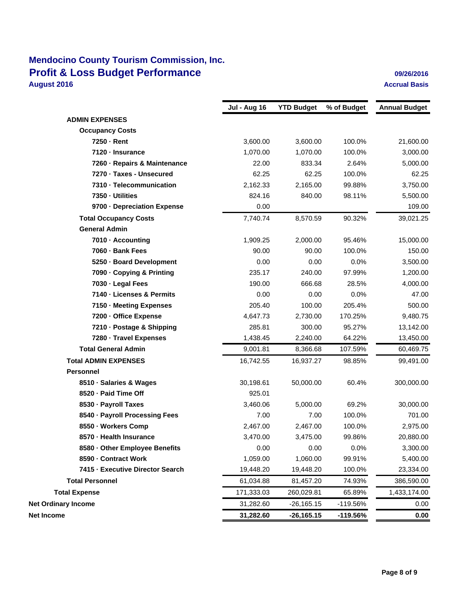## **Mendocino County Tourism Commission, Inc. Profit & Loss Budget Performance Discussed Algebra 2012 12016 09/26/2016 August 2016 Accrual Basis**

|                                  | <b>Jul - Aug 16</b> | <b>YTD Budget</b> | % of Budget | <b>Annual Budget</b> |
|----------------------------------|---------------------|-------------------|-------------|----------------------|
| <b>ADMIN EXPENSES</b>            |                     |                   |             |                      |
| <b>Occupancy Costs</b>           |                     |                   |             |                      |
| 7250 Rent                        | 3,600.00            | 3,600.00          | 100.0%      | 21,600.00            |
| 7120 Insurance                   | 1,070.00            | 1,070.00          | 100.0%      | 3,000.00             |
| 7260 Repairs & Maintenance       | 22.00               | 833.34            | 2.64%       | 5,000.00             |
| 7270 · Taxes - Unsecured         | 62.25               | 62.25             | 100.0%      | 62.25                |
| 7310 Telecommunication           | 2,162.33            | 2,165.00          | 99.88%      | 3,750.00             |
| 7350 Utilities                   | 824.16              | 840.00            | 98.11%      | 5,500.00             |
| 9700 Depreciation Expense        | 0.00                |                   |             | 109.00               |
| <b>Total Occupancy Costs</b>     | 7,740.74            | 8,570.59          | 90.32%      | 39,021.25            |
| <b>General Admin</b>             |                     |                   |             |                      |
| 7010 Accounting                  | 1,909.25            | 2,000.00          | 95.46%      | 15,000.00            |
| 7060 - Bank Fees                 | 90.00               | 90.00             | 100.0%      | 150.00               |
| 5250 Board Development           | 0.00                | 0.00              | 0.0%        | 3,500.00             |
| 7090 Copying & Printing          | 235.17              | 240.00            | 97.99%      | 1,200.00             |
| 7030 Legal Fees                  | 190.00              | 666.68            | 28.5%       | 4,000.00             |
| 7140 Licenses & Permits          | 0.00                | 0.00              | 0.0%        | 47.00                |
| 7150 Meeting Expenses            | 205.40              | 100.00            | 205.4%      | 500.00               |
| 7200 Office Expense              | 4,647.73            | 2,730.00          | 170.25%     | 9,480.75             |
| 7210 - Postage & Shipping        | 285.81              | 300.00            | 95.27%      | 13,142.00            |
| 7280 Travel Expenses             | 1,438.45            | 2,240.00          | 64.22%      | 13,450.00            |
| <b>Total General Admin</b>       | 9,001.81            | 8,366.68          | 107.59%     | 60,469.75            |
| <b>Total ADMIN EXPENSES</b>      | 16,742.55           | 16,937.27         | 98.85%      | 99,491.00            |
| <b>Personnel</b>                 |                     |                   |             |                      |
| 8510 · Salaries & Wages          | 30,198.61           | 50,000.00         | 60.4%       | 300,000.00           |
| 8520 - Paid Time Off             | 925.01              |                   |             |                      |
| 8530 - Payroll Taxes             | 3,460.06            | 5,000.00          | 69.2%       | 30,000.00            |
| 8540 - Payroll Processing Fees   | 7.00                | 7.00              | 100.0%      | 701.00               |
| 8550 · Workers Comp              | 2,467.00            | 2,467.00          | 100.0%      | 2,975.00             |
| 8570 - Health Insurance          | 3,470.00            | 3,475.00          | 99.86%      | 20,880.00            |
| 8580 - Other Employee Benefits   | 0.00                | 0.00              | 0.0%        | 3,300.00             |
| 8590 - Contract Work             | 1,059.00            | 1,060.00          | 99.91%      | 5,400.00             |
| 7415 - Executive Director Search | 19,448.20           | 19,448.20         | 100.0%      | 23,334.00            |
| <b>Total Personnel</b>           | 61,034.88           | 81,457.20         | 74.93%      | 386,590.00           |
| <b>Total Expense</b>             | 171,333.03          | 260,029.81        | 65.89%      | 1,433,174.00         |
| <b>Net Ordinary Income</b>       | 31,282.60           | $-26,165.15$      | -119.56%    | 0.00                 |
| Net Income                       | 31,282.60           | $-26,165.15$      | -119.56%    | 0.00                 |